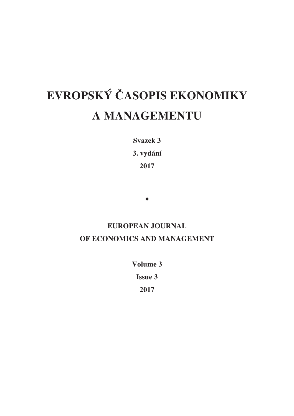# **EVROPSKÝ ČASOPIS EKONOMIKY A MANAGEMENTU**

**Svazek 3** 

**3. vydání** 

**2017** 

•

## **EUROPEAN JOURNAL OF ECONOMICS AND MANAGEMENT**

**Volume 3 Issue 3 2017**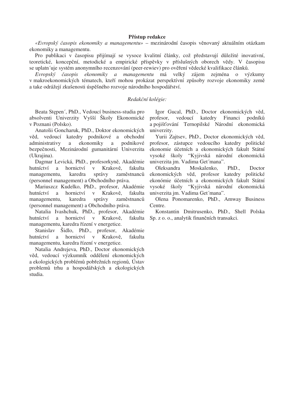### **P-ístup redakce**

«Evropský časopis ekonomiky a managementu» – mezinárodní časopis věnovaný aktuálním otázkam ekonomiky a managementu.

Pro publikaci v časopisu přijímají se vysoce kvalitní články, což představují důležité inovativní, teoretické, koncepční, metodické a empirické příspěvky v příslušných oborech vědy. V časopisu se uplatní uje systém anonymního recenzování (peer-rewiev) pro ověření vědecké kvalifikace článků.

*Evropský asopis ekonomiky a managementu* má velký zájem zejména o výzkumy v makroekonomických tématech, kteří mohou prokázat perspektívní způsoby rozvoje ekonomiky země a take odrážejí zkušenosti úspěšného rozvoje národního hospodářství.

#### *Redakní kolégie:*

Beata Stepen´, PhD., Vedoucí business-studia pro absolventi Univerzity Vyšší Školy Ekonomické v Poznani (Polsko).

Anatolii Goncharuk, PhD., Doktor ekonomických věd, vedoucí katedry podnikové a obchodní administrativy a ekonomiky a podnikové bezpečnosti, Mezinárodní gumanitární Univerzita (Ukrajina).

Dagmar Levická, PhD., profesorkyně, Akadémie hutníctví a hornictví v Krakově. , fakulta managementu, karedra správy zaměstnanců (personnel management) a Obchodního práva.

Mariuszcz Kudelko, PhD., profesor, Akadémie hutníctví a hornictví v Krakově. , fakulta managementu, karedra správy zaměstnanců (personnel management) a Obchodního práva.

Natalia Ivashchuk, PhD., profesor, Akadémie hutníctví a hornictví v Krakově. managementu, karedra řízení v energetice.

Stanislav Šidlo, PhD., profesor, Akadémie hutníctví a hornictví v Krakově. , fakulta managementu, karedra řízení v energetice.

Natalia Andrejeva, PhD., Doctor ekonomických věd, vedoucí výzkumník oddělení ekonomických a ekologických problémů pobřežních regionů, Ústav problemů trhu a hospodářských a ekologických studia.

Igor Gucal, PhD., Doctor ekonomických věd, profesor, vedoucí katedry Financi podník a pojišťování Ternopilské Národní ekonomická univerzity.

Yurii Zajtsev, PhD., Doctor ekonomických věd, profesor, zástupce vedoucího katedry politické ekonomie účetních a ekonomických fakult Státní vysoké školy "Kyjivská národní ekonomická univerzita jm. Vadima Get´mana".

Oleksandra Moskalenko, PhD., Doctor ekonomických věd, profesor katedry politické ekonómie účetních a ekonomických fakult Státní vysoké školy "Kyjivská národní ekonomická univerzita jm. Vadima Get´mana".

Olena Ponomarenko, PhD., Amway Business Centre.

, fakulta Sp. z o. o., analytik finančních transakci. Konstantin Dmitrusenko, PhD., Shell Polska